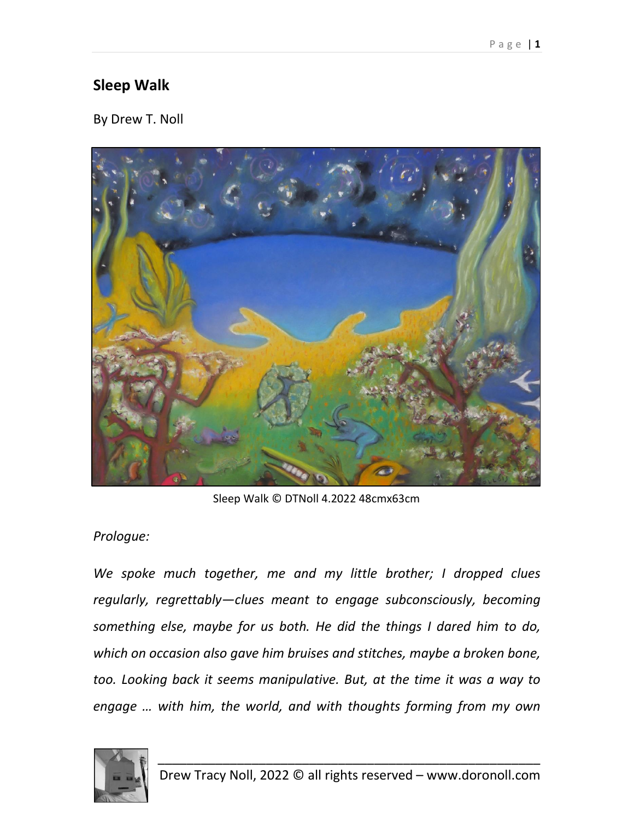## **Sleep Walk**

By Drew T. Noll



Sleep Walk © DTNoll 4.2022 48cmx63cm

## *Prologue:*

*We spoke much together, me and my little brother; I dropped clues regularly, regrettably—clues meant to engage subconsciously, becoming something else, maybe for us both. He did the things I dared him to do, which on occasion also gave him bruises and stitches, maybe a broken bone, too. Looking back it seems manipulative. But, at the time it was a way to engage … with him, the world, and with thoughts forming from my own* 

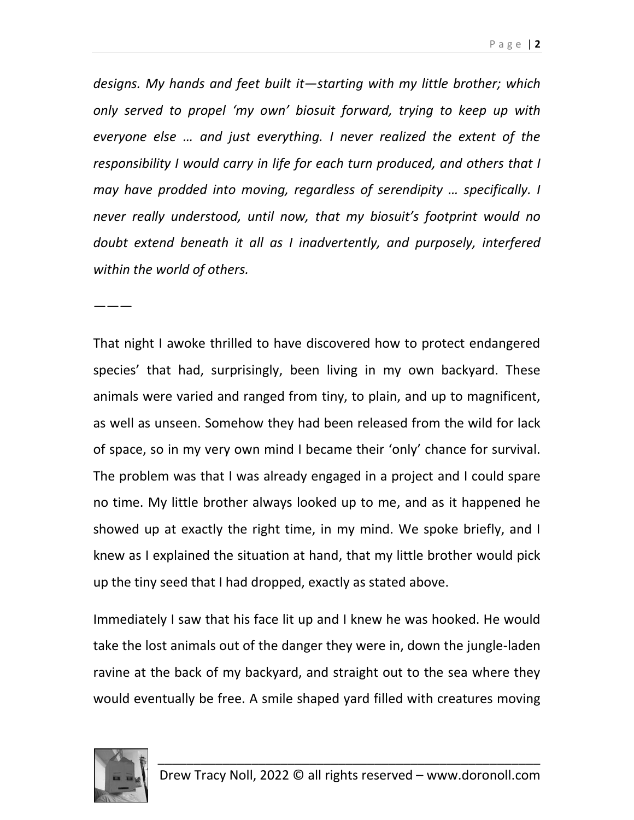*designs. My hands and feet built it—starting with my little brother; which only served to propel 'my own' biosuit forward, trying to keep up with everyone else … and just everything. I never realized the extent of the responsibility I would carry in life for each turn produced, and others that I may have prodded into moving, regardless of serendipity … specifically. I never really understood, until now, that my biosuit's footprint would no doubt extend beneath it all as I inadvertently, and purposely, interfered within the world of others.*

———

That night I awoke thrilled to have discovered how to protect endangered species' that had, surprisingly, been living in my own backyard. These animals were varied and ranged from tiny, to plain, and up to magnificent, as well as unseen. Somehow they had been released from the wild for lack of space, so in my very own mind I became their 'only' chance for survival. The problem was that I was already engaged in a project and I could spare no time. My little brother always looked up to me, and as it happened he showed up at exactly the right time, in my mind. We spoke briefly, and I knew as I explained the situation at hand, that my little brother would pick up the tiny seed that I had dropped, exactly as stated above.

Immediately I saw that his face lit up and I knew he was hooked. He would take the lost animals out of the danger they were in, down the jungle-laden ravine at the back of my backyard, and straight out to the sea where they would eventually be free. A smile shaped yard filled with creatures moving

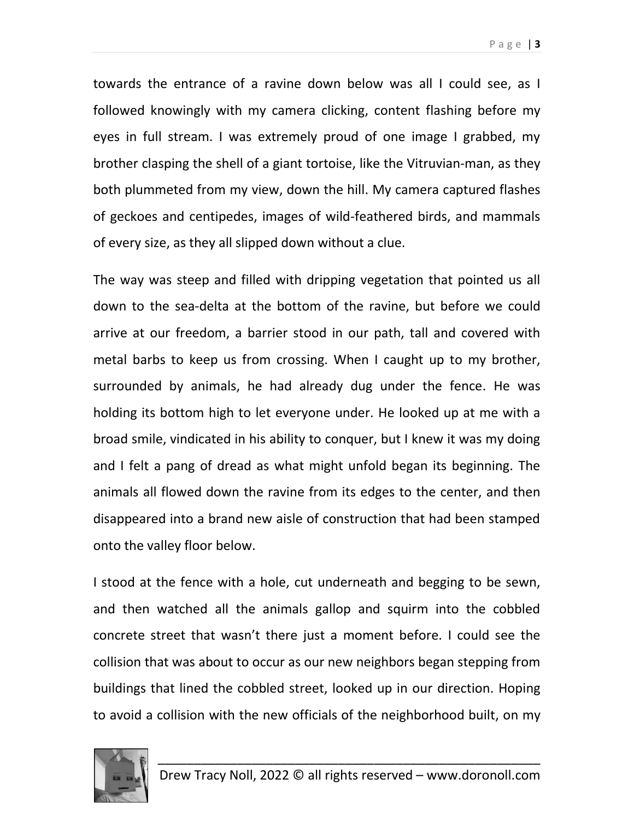towards the entrance of a ravine down below was all I could see, as I followed knowingly with my camera clicking, content flashing before my eyes in full stream. I was extremely proud of one image I grabbed, my brother clasping the shell of a giant tortoise, like the Vitruvian-man, as they both plummeted from my view, down the hill. My camera captured flashes of geckoes and centipedes, images of wild-feathered birds, and mammals of every size, as they all slipped down without a clue.

The way was steep and filled with dripping vegetation that pointed us all down to the sea-delta at the bottom of the ravine, but before we could arrive at our freedom, a barrier stood in our path, tall and covered with metal barbs to keep us from crossing. When I caught up to my brother, surrounded by animals, he had already dug under the fence. He was holding its bottom high to let everyone under. He looked up at me with a broad smile, vindicated in his ability to conquer, but I knew it was my doing and I felt a pang of dread as what might unfold began its beginning. The animals all flowed down the ravine from its edges to the center, and then disappeared into a brand new aisle of construction that had been stamped onto the valley floor below.

I stood at the fence with a hole, cut underneath and begging to be sewn, and then watched all the animals gallop and squirm into the cobbled concrete street that wasn't there just a moment before. I could see the collision that was about to occur as our new neighbors began stepping from buildings that lined the cobbled street, looked up in our direction. Hoping to avoid a collision with the new officials of the neighborhood built, on my

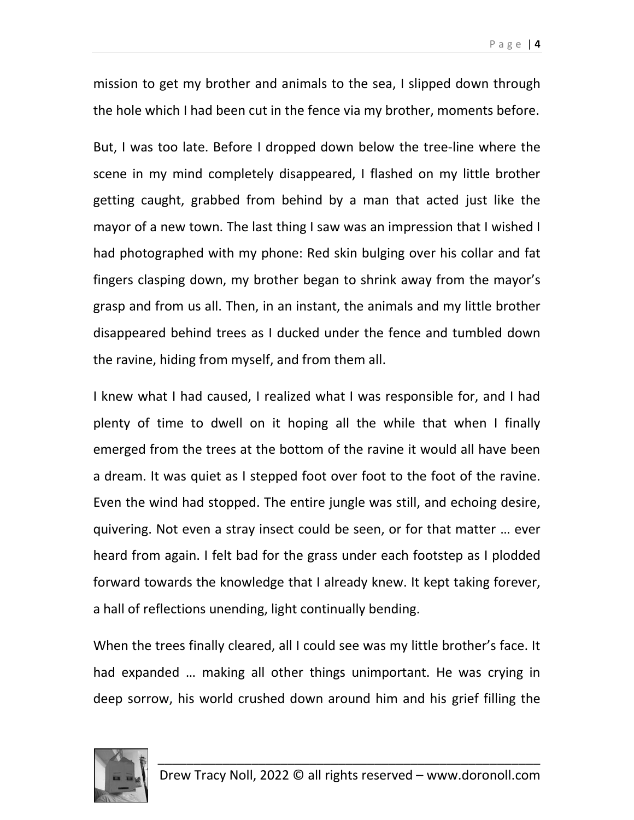mission to get my brother and animals to the sea, I slipped down through the hole which I had been cut in the fence via my brother, moments before.

But, I was too late. Before I dropped down below the tree-line where the scene in my mind completely disappeared, I flashed on my little brother getting caught, grabbed from behind by a man that acted just like the mayor of a new town. The last thing I saw was an impression that I wished I had photographed with my phone: Red skin bulging over his collar and fat fingers clasping down, my brother began to shrink away from the mayor's grasp and from us all. Then, in an instant, the animals and my little brother disappeared behind trees as I ducked under the fence and tumbled down the ravine, hiding from myself, and from them all.

I knew what I had caused, I realized what I was responsible for, and I had plenty of time to dwell on it hoping all the while that when I finally emerged from the trees at the bottom of the ravine it would all have been a dream. It was quiet as I stepped foot over foot to the foot of the ravine. Even the wind had stopped. The entire jungle was still, and echoing desire, quivering. Not even a stray insect could be seen, or for that matter … ever heard from again. I felt bad for the grass under each footstep as I plodded forward towards the knowledge that I already knew. It kept taking forever, a hall of reflections unending, light continually bending.

When the trees finally cleared, all I could see was my little brother's face. It had expanded … making all other things unimportant. He was crying in deep sorrow, his world crushed down around him and his grief filling the